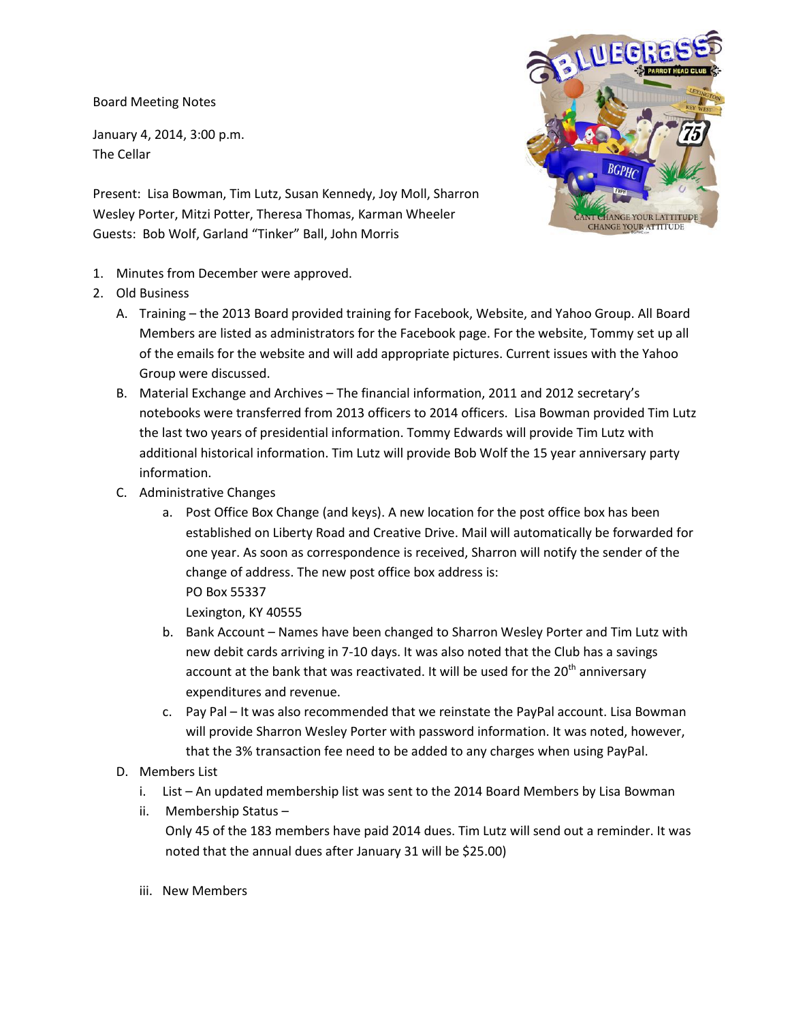Board Meeting Notes

January 4, 2014, 3:00 p.m. The Cellar

Present: Lisa Bowman, Tim Lutz, Susan Kennedy, Joy Moll, Sharron Wesley Porter, Mitzi Potter, Theresa Thomas, Karman Wheeler Guests: Bob Wolf, Garland "Tinker" Ball, John Morris



- 1. Minutes from December were approved.
- 2. Old Business
	- A. Training the 2013 Board provided training for Facebook, Website, and Yahoo Group. All Board Members are listed as administrators for the Facebook page. For the website, Tommy set up all of the emails for the website and will add appropriate pictures. Current issues with the Yahoo Group were discussed.
	- B. Material Exchange and Archives The financial information, 2011 and 2012 secretary's notebooks were transferred from 2013 officers to 2014 officers. Lisa Bowman provided Tim Lutz the last two years of presidential information. Tommy Edwards will provide Tim Lutz with additional historical information. Tim Lutz will provide Bob Wolf the 15 year anniversary party information.
	- C. Administrative Changes
		- a. Post Office Box Change (and keys). A new location for the post office box has been established on Liberty Road and Creative Drive. Mail will automatically be forwarded for one year. As soon as correspondence is received, Sharron will notify the sender of the change of address. The new post office box address is: PO Box 55337

Lexington, KY 40555

- b. Bank Account Names have been changed to Sharron Wesley Porter and Tim Lutz with new debit cards arriving in 7-10 days. It was also noted that the Club has a savings account at the bank that was reactivated. It will be used for the  $20<sup>th</sup>$  anniversary expenditures and revenue.
- c. Pay Pal It was also recommended that we reinstate the PayPal account. Lisa Bowman will provide Sharron Wesley Porter with password information. It was noted, however, that the 3% transaction fee need to be added to any charges when using PayPal.
- D. Members List
	- i. List An updated membership list was sent to the 2014 Board Members by Lisa Bowman
	- ii. Membership Status Only 45 of the 183 members have paid 2014 dues. Tim Lutz will send out a reminder. It was noted that the annual dues after January 31 will be \$25.00)
	- iii. New Members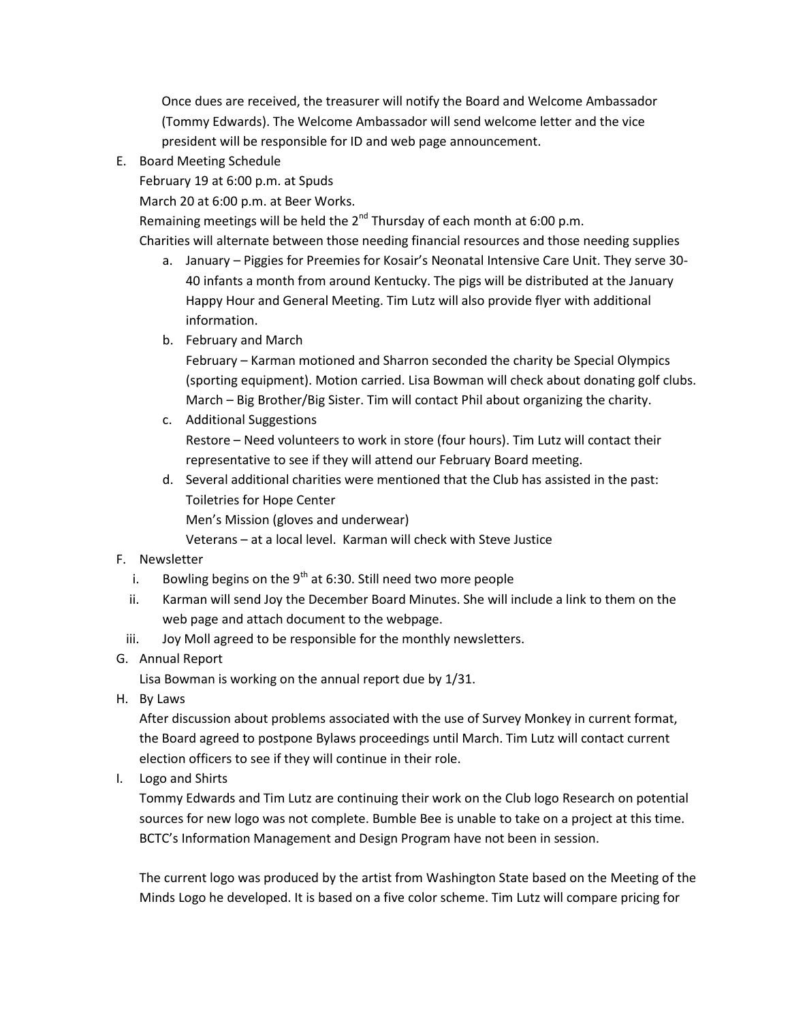Once dues are received, the treasurer will notify the Board and Welcome Ambassador (Tommy Edwards). The Welcome Ambassador will send welcome letter and the vice president will be responsible for ID and web page announcement.

E. Board Meeting Schedule

February 19 at 6:00 p.m. at Spuds

March 20 at 6:00 p.m. at Beer Works.

Remaining meetings will be held the  $2^{nd}$  Thursday of each month at 6:00 p.m.

Charities will alternate between those needing financial resources and those needing supplies

- a. January Piggies for Preemies for Kosair's Neonatal Intensive Care Unit. They serve 30- 40 infants a month from around Kentucky. The pigs will be distributed at the January Happy Hour and General Meeting. Tim Lutz will also provide flyer with additional information.
- b. February and March

February – Karman motioned and Sharron seconded the charity be Special Olympics (sporting equipment). Motion carried. Lisa Bowman will check about donating golf clubs. March – Big Brother/Big Sister. Tim will contact Phil about organizing the charity.

- c. Additional Suggestions Restore – Need volunteers to work in store (four hours). Tim Lutz will contact their representative to see if they will attend our February Board meeting.
- d. Several additional charities were mentioned that the Club has assisted in the past: Toiletries for Hope Center Men's Mission (gloves and underwear)

Veterans – at a local level. Karman will check with Steve Justice

## F. Newsletter

- i. Bowling begins on the  $9<sup>th</sup>$  at 6:30. Still need two more people
- ii. Karman will send Joy the December Board Minutes. She will include a link to them on the web page and attach document to the webpage.
- iii. Joy Moll agreed to be responsible for the monthly newsletters.
- G. Annual Report

Lisa Bowman is working on the annual report due by 1/31.

H. By Laws

After discussion about problems associated with the use of Survey Monkey in current format, the Board agreed to postpone Bylaws proceedings until March. Tim Lutz will contact current election officers to see if they will continue in their role.

I. Logo and Shirts

Tommy Edwards and Tim Lutz are continuing their work on the Club logo Research on potential sources for new logo was not complete. Bumble Bee is unable to take on a project at this time. BCTC's Information Management and Design Program have not been in session.

The current logo was produced by the artist from Washington State based on the Meeting of the Minds Logo he developed. It is based on a five color scheme. Tim Lutz will compare pricing for